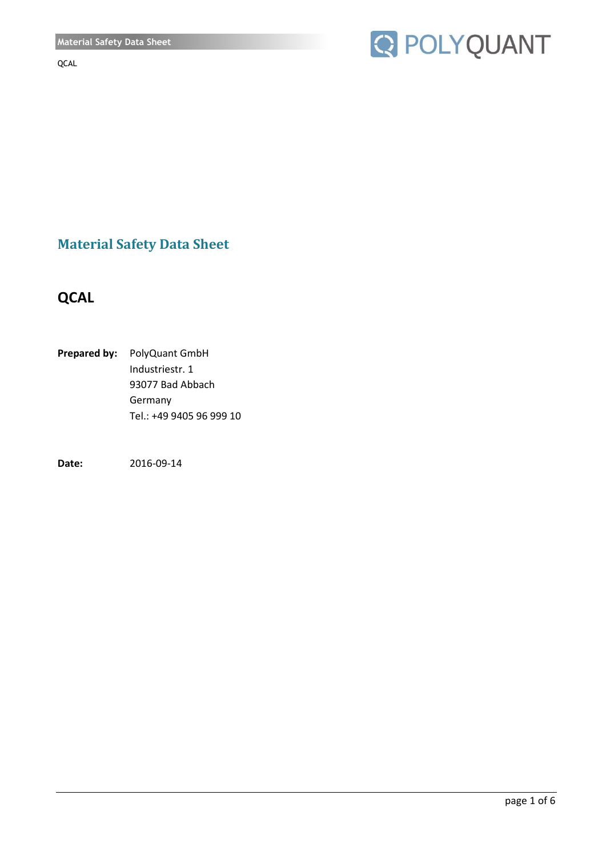

**Material Safety Data Sheet** 

# **QCAL**

**Prepared by:** PolyQuant GmbH Industriestr. 1 93077 Bad Abbach Germany Tel.: +49 9405 96 999 10

**Date:** 2016-09-14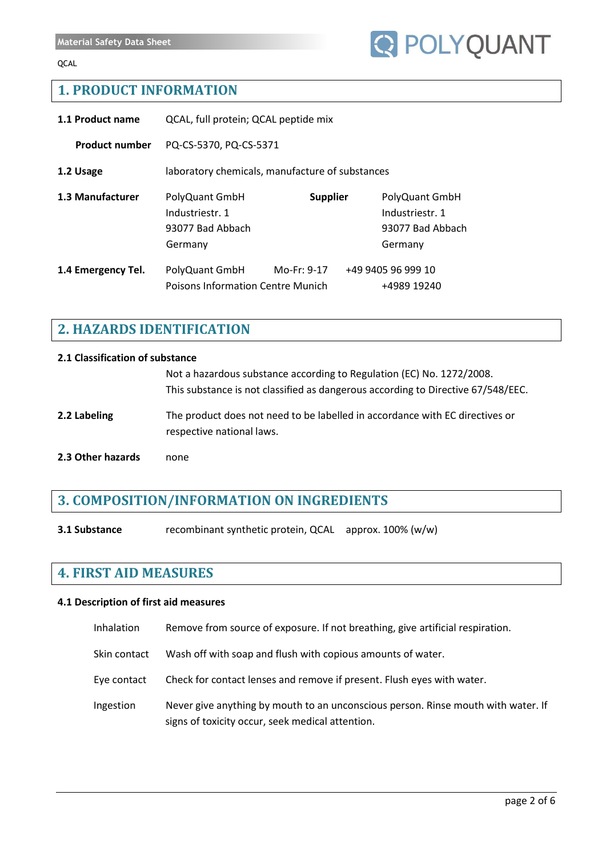## **1. PRODUCT INFORMATION**

| 1.1 Product name      | QCAL, full protein; QCAL peptide mix                                                |             |                                                                  |                                   |
|-----------------------|-------------------------------------------------------------------------------------|-------------|------------------------------------------------------------------|-----------------------------------|
| <b>Product number</b> | PQ-CS-5370, PQ-CS-5371                                                              |             |                                                                  |                                   |
| 1.2 Usage             | laboratory chemicals, manufacture of substances                                     |             |                                                                  |                                   |
| 1.3 Manufacturer      | PolyQuant GmbH<br><b>Supplier</b><br>Industriestr. 1<br>93077 Bad Abbach<br>Germany |             | PolyQuant GmbH<br>Industriestr. 1<br>93077 Bad Abbach<br>Germany |                                   |
| 1.4 Emergency Tel.    | PolyQuant GmbH<br>Poisons Information Centre Munich                                 | Mo-Fr: 9-17 |                                                                  | +49 9405 96 999 10<br>+4989 19240 |

# **2. HAZARDS IDENTIFICATION**

## **2.1 Classification of substance**

|                   | Not a hazardous substance according to Regulation (EC) No. 1272/2008.<br>This substance is not classified as dangerous according to Directive 67/548/EEC. |
|-------------------|-----------------------------------------------------------------------------------------------------------------------------------------------------------|
| 2.2 Labeling      | The product does not need to be labelled in accordance with EC directives or<br>respective national laws.                                                 |
| 2.3 Other hazards | none                                                                                                                                                      |

## **3. COMPOSITION/INFORMATION ON INGREDIENTS**

**3.1 Substance** recombinant synthetic protein, QCAL approx. 100% (w/w)

## **4. FIRST AID MEASURES**

#### **4.1 Description of first aid measures**

- Inhalation Remove from source of exposure. If not breathing, give artificial respiration.
- Skin contact Wash off with soap and flush with copious amounts of water.
- Eye contact Check for contact lenses and remove if present. Flush eyes with water.
- Ingestion Never give anything by mouth to an unconscious person. Rinse mouth with water. If signs of toxicity occur, seek medical attention.

**Q POLYQUANT**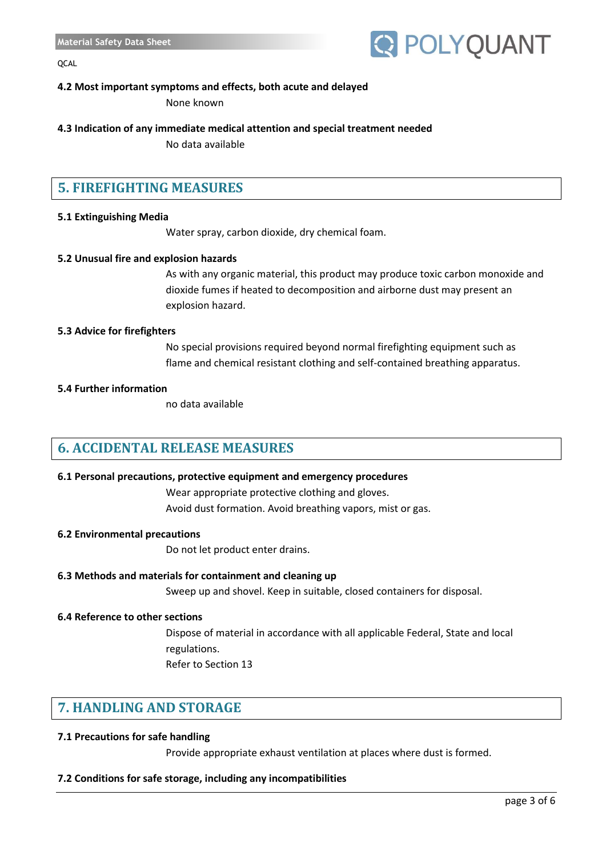

## **4.2 Most important symptoms and effects, both acute and delayed**

None known

## **4.3 Indication of any immediate medical attention and special treatment needed**

No data available

# **5. FIREFIGHTING MEASURES**

## **5.1 Extinguishing Media**

Water spray, carbon dioxide, dry chemical foam.

#### **5.2 Unusual fire and explosion hazards**

As with any organic material, this product may produce toxic carbon monoxide and dioxide fumes if heated to decomposition and airborne dust may present an explosion hazard.

#### **5.3 Advice for firefighters**

No special provisions required beyond normal firefighting equipment such as flame and chemical resistant clothing and self-contained breathing apparatus.

#### **5.4 Further information**

no data available

## **6. ACCIDENTAL RELEASE MEASURES**

## **6.1 Personal precautions, protective equipment and emergency procedures**

Wear appropriate protective clothing and gloves. Avoid dust formation. Avoid breathing vapors, mist or gas.

#### **6.2 Environmental precautions**

Do not let product enter drains.

## **6.3 Methods and materials for containment and cleaning up**

Sweep up and shovel. Keep in suitable, closed containers for disposal.

## **6.4 Reference to other sections**

Dispose of material in accordance with all applicable Federal, State and local regulations. Refer to Section 13

# **7. HANDLING AND STORAGE**

## **7.1 Precautions for safe handling**

Provide appropriate exhaust ventilation at places where dust is formed.

## **7.2 Conditions for safe storage, including any incompatibilities**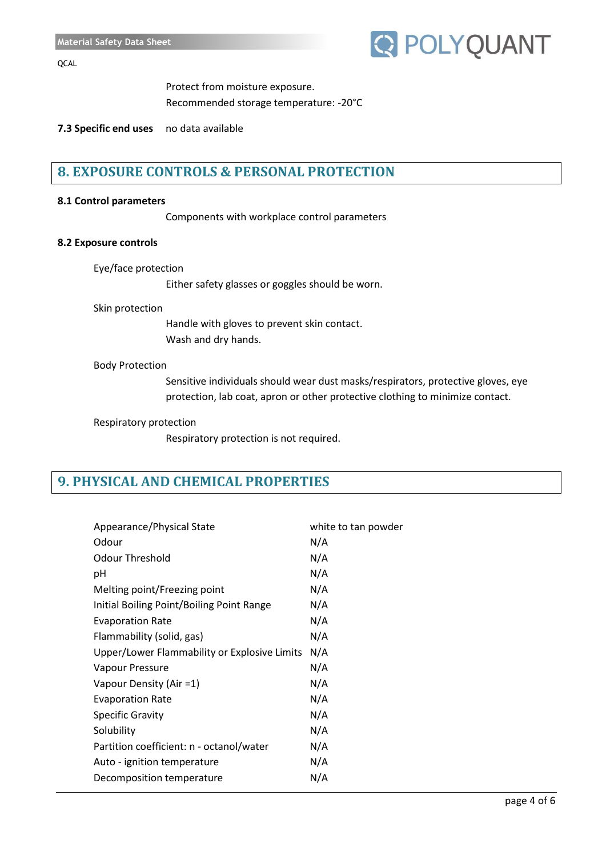

Protect from moisture exposure. Recommended storage temperature: -20°C

**7.3 Specific end uses** no data available

## **8. EXPOSURE CONTROLS & PERSONAL PROTECTION**

#### **8.1 Control parameters**

Components with workplace control parameters

#### **8.2 Exposure controls**

```
Eye/face protection
```
Either safety glasses or goggles should be worn.

#### Skin protection

Handle with gloves to prevent skin contact. Wash and dry hands.

#### Body Protection

Sensitive individuals should wear dust masks/respirators, protective gloves, eye protection, lab coat, apron or other protective clothing to minimize contact.

#### Respiratory protection

Respiratory protection is not required.

# **9. PHYSICAL AND CHEMICAL PROPERTIES**

| Appearance/Physical State                    | white to tan powder |
|----------------------------------------------|---------------------|
| Odour                                        | N/A                 |
| <b>Odour Threshold</b>                       | N/A                 |
| рH                                           | N/A                 |
| Melting point/Freezing point                 | N/A                 |
| Initial Boiling Point/Boiling Point Range    | N/A                 |
| <b>Evaporation Rate</b>                      | N/A                 |
| Flammability (solid, gas)                    | N/A                 |
| Upper/Lower Flammability or Explosive Limits | N/A                 |
| Vapour Pressure                              | N/A                 |
| Vapour Density (Air =1)                      | N/A                 |
| <b>Evaporation Rate</b>                      | N/A                 |
| <b>Specific Gravity</b>                      | N/A                 |
| Solubility                                   | N/A                 |
| Partition coefficient: n - octanol/water     | N/A                 |
| Auto - ignition temperature                  | N/A                 |
| Decomposition temperature                    | N/A                 |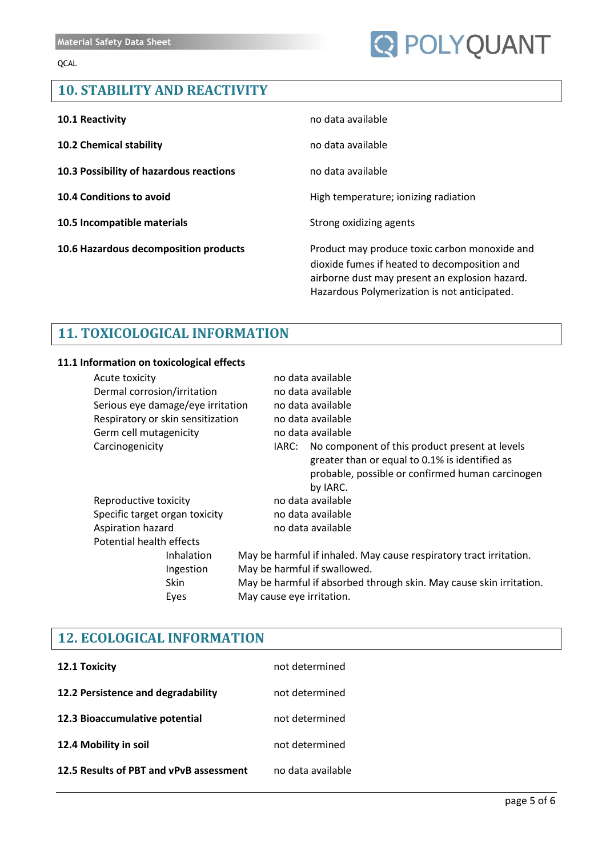# **Q POLYQUANT**

# **10. STABILITY AND REACTIVITY**

| 10.1 Reactivity                         | no data available                                                                                                                                                                               |
|-----------------------------------------|-------------------------------------------------------------------------------------------------------------------------------------------------------------------------------------------------|
| <b>10.2 Chemical stability</b>          | no data available                                                                                                                                                                               |
| 10.3 Possibility of hazardous reactions | no data available                                                                                                                                                                               |
| <b>10.4 Conditions to avoid</b>         | High temperature; ionizing radiation                                                                                                                                                            |
| 10.5 Incompatible materials             | Strong oxidizing agents                                                                                                                                                                         |
| 10.6 Hazardous decomposition products   | Product may produce toxic carbon monoxide and<br>dioxide fumes if heated to decomposition and<br>airborne dust may present an explosion hazard.<br>Hazardous Polymerization is not anticipated. |

# **11. TOXICOLOGICAL INFORMATION**

## **11.1 Information on toxicological effects**

| Acute toxicity                 |                                   |  | no data available                                                                                                                                                      |
|--------------------------------|-----------------------------------|--|------------------------------------------------------------------------------------------------------------------------------------------------------------------------|
| Dermal corrosion/irritation    |                                   |  | no data available                                                                                                                                                      |
|                                | Serious eye damage/eye irritation |  | no data available                                                                                                                                                      |
|                                | Respiratory or skin sensitization |  | no data available                                                                                                                                                      |
| Germ cell mutagenicity         |                                   |  | no data available                                                                                                                                                      |
| Carcinogenicity                |                                   |  | IARC: No component of this product present at levels<br>greater than or equal to 0.1% is identified as<br>probable, possible or confirmed human carcinogen<br>by IARC. |
| Reproductive toxicity          |                                   |  | no data available                                                                                                                                                      |
| Specific target organ toxicity |                                   |  | no data available                                                                                                                                                      |
| Aspiration hazard              |                                   |  | no data available                                                                                                                                                      |
| Potential health effects       |                                   |  |                                                                                                                                                                        |
|                                | Inhalation                        |  | May be harmful if inhaled. May cause respiratory tract irritation.                                                                                                     |
|                                | Ingestion                         |  | May be harmful if swallowed.                                                                                                                                           |
|                                | Skin                              |  | May be harmful if absorbed through skin. May cause skin irritation.                                                                                                    |
|                                | Eyes                              |  | May cause eye irritation.                                                                                                                                              |
|                                |                                   |  |                                                                                                                                                                        |

# **12. ECOLOGICAL INFORMATION**

| 12.1 Toxicity                           | not determined    |
|-----------------------------------------|-------------------|
| 12.2 Persistence and degradability      | not determined    |
| 12.3 Bioaccumulative potential          | not determined    |
| 12.4 Mobility in soil                   | not determined    |
| 12.5 Results of PBT and vPvB assessment | no data available |